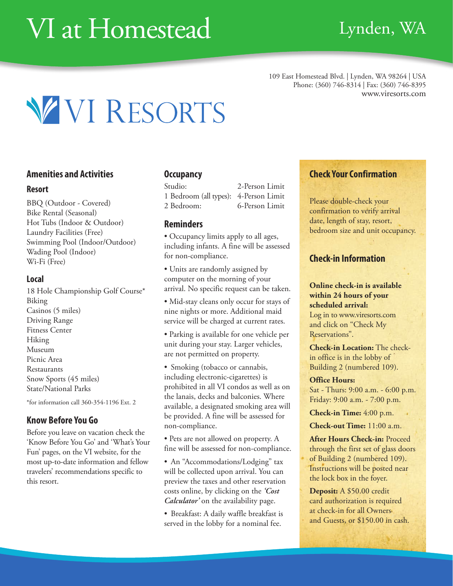# VI at Homestead Lynden, WA

109 East Homestead Blvd. | Lynden, WA 98264 | USA Phone: (360) 746-8314 | Fax: (360) 746-8395 www.viresorts.com



#### **Amenities and Activities**

#### **Resort**

BBQ (Outdoor - Covered) Bike Rental (Seasonal) Hot Tubs (Indoor & Outdoor) Laundry Facilities (Free) Swimming Pool (Indoor/Outdoor) Wading Pool (Indoor) Wi-Fi (Free)

#### **Local**

18 Hole Championship Golf Course\* Biking Casinos (5 miles) Driving Range Fitness Center Hiking Museum Picnic Area Restaurants Snow Sports (45 miles) State/National Parks

\*for information call 360-354-1196 Ext. 2

#### **Know Before You Go**

Before you leave on vacation check the 'Know Before You Go' and 'What's Your Fun' pages, on the VI website, for the most up-to-date information and fellow travelers' recommendations specific to this resort.

#### **Occupancy**

Studio: 2-Person Limit 1 Bedroom (all types): 4-Person Limit 2 Bedroom: 6-Person Limit

#### **Reminders**

• Occupancy limits apply to all ages, including infants. A fine will be assessed for non-compliance.

• Units are randomly assigned by computer on the morning of your arrival. No specific request can be taken.

• Mid-stay cleans only occur for stays of nine nights or more. Additional maid service will be charged at current rates.

• Parking is available for one vehicle per unit during your stay. Larger vehicles, are not permitted on property.

• Smoking (tobacco or cannabis, including electronic-cigarettes) is prohibited in all VI condos as well as on the lanais, decks and balconies. Where available, a designated smoking area will be provided. A fine will be assessed for non-compliance.

• Pets are not allowed on property. A fine will be assessed for non-compliance.

• An "Accommodations/Lodging" tax will be collected upon arrival. You can preview the taxes and other reservation costs online, by clicking on the *'Cost Calculator'* on the availability page.

• Breakfast: A daily waffle breakfast is served in the lobby for a nominal fee.

#### **Check Your Confirmation**

Please double-check your confirmation to verify arrival date, length of stay, resort, bedroom size and unit occupancy.

#### **Check-in Information**

**Online check-in is available within 24 hours of your scheduled arrival:** Log in to www.viresorts.com

and click on "Check My Reservations".

**Check-in Location:** The checkin office is in the lobby of Building 2 (numbered 109).

#### **Office Hours:**

Sat - Thurs: 9:00 a.m. - 6:00 p.m. Friday: 9:00 a.m. - 7:00 p.m.

**Check-in Time:** 4:00 p.m.

**Check-out Time:** 11:00 a.m.

**After Hours Check-in:** Proceed through the first set of glass doors of Building 2 (numbered 109). Instructions will be posted near the lock box in the foyer.

**Deposit:** A \$50.00 credit card authorization is required at check-in for all Owners and Guests, or \$150.00 in cash.